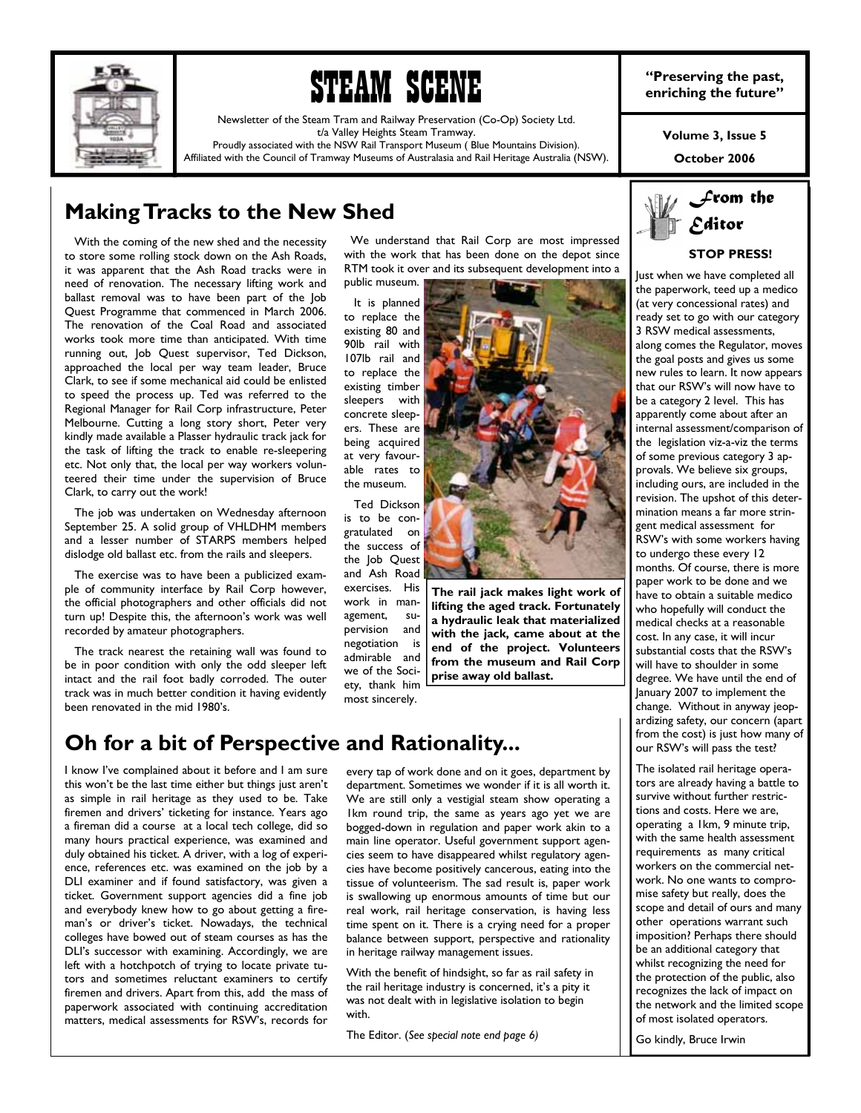

# STEAM SCENE

Newsletter of the Steam Tram and Railway Preservation (Co-Op) Society Ltd. t/a Valley Heights Steam Tramway.

Proudly associated with the NSW Rail Transport Museum ( Blue Mountains Division). Affiliated with the Council of Tramway Museums of Australasia and Rail Heritage Australia (NSW). **"Preserving the past, enriching the future"** 

**Volume 3, Issue 5** 

**October 2006** 

## **Making Tracks to the New Shed**

 With the coming of the new shed and the necessity to store some rolling stock down on the Ash Roads, it was apparent that the Ash Road tracks were in need of renovation. The necessary lifting work and ballast removal was to have been part of the Job Quest Programme that commenced in March 2006. The renovation of the Coal Road and associated works took more time than anticipated. With time running out, Job Quest supervisor, Ted Dickson, approached the local per way team leader, Bruce Clark, to see if some mechanical aid could be enlisted to speed the process up. Ted was referred to the Regional Manager for Rail Corp infrastructure, Peter Melbourne. Cutting a long story short, Peter very kindly made available a Plasser hydraulic track jack for the task of lifting the track to enable re-sleepering etc. Not only that, the local per way workers volunteered their time under the supervision of Bruce Clark, to carry out the work!

 The job was undertaken on Wednesday afternoon September 25. A solid group of VHLDHM members and a lesser number of STARPS members helped dislodge old ballast etc. from the rails and sleepers.

 The exercise was to have been a publicized example of community interface by Rail Corp however, the official photographers and other officials did not turn up! Despite this, the afternoon's work was well recorded by amateur photographers.

 The track nearest the retaining wall was found to be in poor condition with only the odd sleeper left intact and the rail foot badly corroded. The outer track was in much better condition it having evidently been renovated in the mid 1980's.

 We understand that Rail Corp are most impressed with the work that has been done on the depot since RTM took it over and its subsequent development into a public museum.

 It is planned to replace the existing 80 and 90lb rail with 107lb rail and to replace the existing timber sleepers with concrete sleepers. These are being acquired at very favourable rates to the museum.

 Ted Dickson is to be congratulated on the success of the Job Quest and Ash Road exercises. His work in management, supervision and negotiation is admirable and we of the Society, thank him most sincerely.



1000 - 1000 - 1000 - 1000 - 1000 - 1000 - 1000 - 1000 - 1000 - 1000 - 1000 - 1000 - 1000 - 1000 - 1000 - 1000

**The rail jack makes light work of lifting the aged track. Fortunately a hydraulic leak that materialized with the jack, came about at the end of the project. Volunteers from the museum and Rail Corp prise away old ballast.** 

## **Oh for a bit of Perspective and Rationality...**

I know I've complained about it before and I am sure this won't be the last time either but things just aren't as simple in rail heritage as they used to be. Take firemen and drivers' ticketing for instance. Years ago a fireman did a course at a local tech college, did so many hours practical experience, was examined and duly obtained his ticket. A driver, with a log of experience, references etc. was examined on the job by a DLI examiner and if found satisfactory, was given a ticket. Government support agencies did a fine job and everybody knew how to go about getting a fireman's or driver's ticket. Nowadays, the technical colleges have bowed out of steam courses as has the DLI's successor with examining. Accordingly, we are left with a hotchpotch of trying to locate private tutors and sometimes reluctant examiners to certify firemen and drivers. Apart from this, add the mass of paperwork associated with continuing accreditation matters, medical assessments for RSW's, records for

every tap of work done and on it goes, department by department. Sometimes we wonder if it is all worth it. We are still only a vestigial steam show operating a 1km round trip, the same as years ago yet we are bogged-down in regulation and paper work akin to a main line operator. Useful government support agencies seem to have disappeared whilst regulatory agencies have become positively cancerous, eating into the tissue of volunteerism. The sad result is, paper work is swallowing up enormous amounts of time but our real work, rail heritage conservation, is having less time spent on it. There is a crying need for a proper balance between support, perspective and rationality in heritage railway management issues.

With the benefit of hindsight, so far as rail safety in the rail heritage industry is concerned, it's a pity it was not dealt with in legislative isolation to begin with.

The Editor. (*See special note end page 6)* 



## **STOP PRESS!**

lust when we have completed all the paperwork, teed up a medico (at very concessional rates) and ready set to go with our category 3 RSW medical assessments, along comes the Regulator, moves the goal posts and gives us some new rules to learn. It now appears that our RSW's will now have to be a category 2 level. This has apparently come about after an internal assessment/comparison of the legislation viz-a-viz the terms of some previous category 3 approvals. We believe six groups, including ours, are included in the revision. The upshot of this determination means a far more stringent medical assessment for RSW's with some workers having to undergo these every 12 months. Of course, there is more paper work to be done and we .<br>have to obtain a suitable medico who hopefully will conduct the medical checks at a reasonable cost. In any case, it will incur substantial costs that the RSW's will have to shoulder in some degree. We have until the end of January 2007 to implement the change. Without in anyway jeopardizing safety, our concern (apart from the cost) is just how many of our RSW's will pass the test?

The isolated rail heritage operators are already having a battle to survive without further restrictions and costs. Here we are, operating a 1km, 9 minute trip, with the same health assessment requirements as many critical workers on the commercial network. No one wants to compromise safety but really, does the scope and detail of ours and many other operations warrant such imposition? Perhaps there should be an additional category that whilst recognizing the need for the protection of the public, also recognizes the lack of impact on the network and the limited scope of most isolated operators.

Go kindly, Bruce Irwin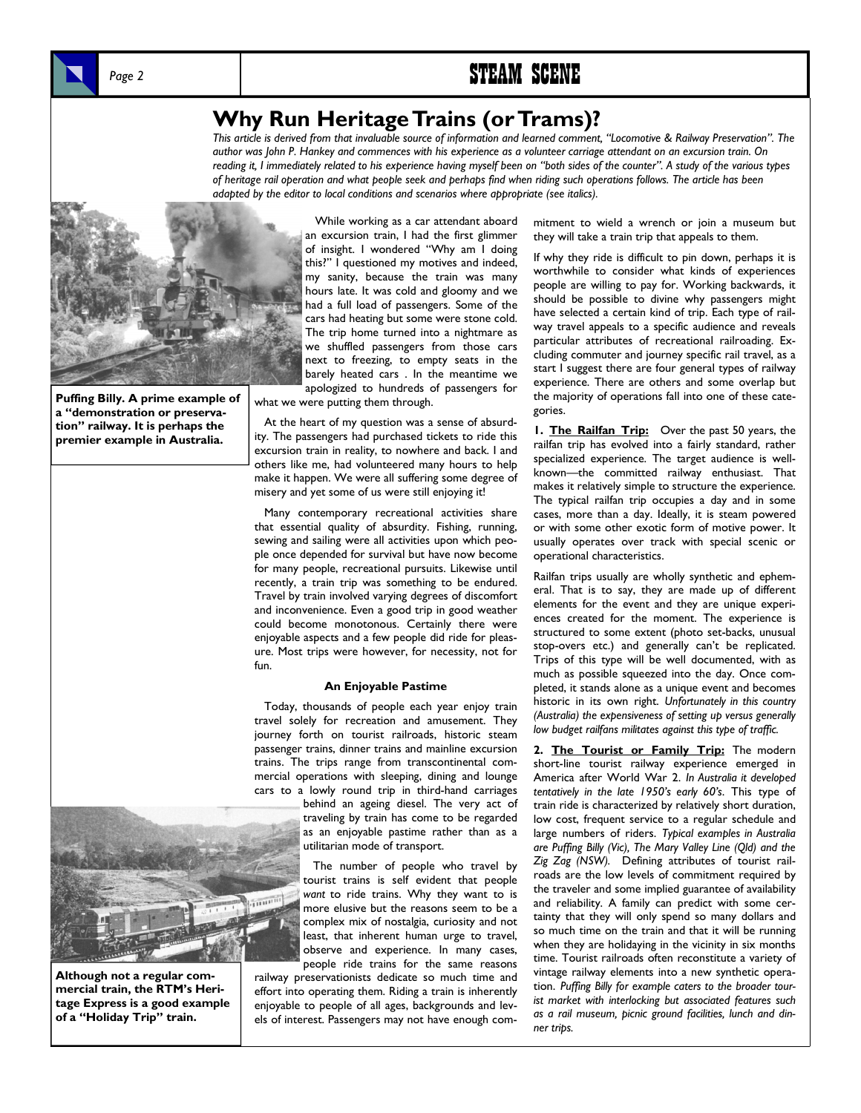



## **Why Run Heritage Trains (or Trams)?**

*This article is derived from that invaluable source of information and learned comment, "Locomotive & Railway Preservation". The author was John P. Hankey and commences with his experience as a volunteer carriage attendant on an excursion train. On reading it, I immediately related to his experience having myself been on "both sides of the counter". A study of the various types of heritage rail operation and what people seek and perhaps find when riding such operations follows. The article has been adapted by the editor to local conditions and scenarios where appropriate (see italics).* 



**Puffing Billy. A prime example of a "demonstration or preservation" railway. It is perhaps the premier example in Australia.** 

 While working as a car attendant aboard an excursion train, I had the first glimmer of insight. I wondered "Why am I doing this?" I questioned my motives and indeed, my sanity, because the train was many hours late. It was cold and gloomy and we had a full load of passengers. Some of the cars had heating but some were stone cold. The trip home turned into a nightmare as we shuffled passengers from those cars next to freezing, to empty seats in the barely heated cars . In the meantime we apologized to hundreds of passengers for

what we were putting them through.

 At the heart of my question was a sense of absurdity. The passengers had purchased tickets to ride this excursion train in reality, to nowhere and back. I and others like me, had volunteered many hours to help make it happen. We were all suffering some degree of misery and yet some of us were still enjoying it!

 Many contemporary recreational activities share that essential quality of absurdity. Fishing, running, sewing and sailing were all activities upon which people once depended for survival but have now become for many people, recreational pursuits. Likewise until recently, a train trip was something to be endured. Travel by train involved varying degrees of discomfort and inconvenience. Even a good trip in good weather could become monotonous. Certainly there were enjoyable aspects and a few people did ride for pleasure. Most trips were however, for necessity, not for fun.

#### **An Enjoyable Pastime**

 Today, thousands of people each year enjoy train travel solely for recreation and amusement. They journey forth on tourist railroads, historic steam passenger trains, dinner trains and mainline excursion trains. The trips range from transcontinental commercial operations with sleeping, dining and lounge cars to a lowly round trip in third-hand carriages

> behind an ageing diesel. The very act of traveling by train has come to be regarded as an enjoyable pastime rather than as a utilitarian mode of transport.

 The number of people who travel by tourist trains is self evident that people *want* to ride trains. Why they want to is more elusive but the reasons seem to be a complex mix of nostalgia, curiosity and not least, that inherent human urge to travel, observe and experience. In many cases, people ride trains for the same reasons

railway preservationists dedicate so much time and effort into operating them. Riding a train is inherently enjoyable to people of all ages, backgrounds and levels of interest. Passengers may not have enough commitment to wield a wrench or join a museum but they will take a train trip that appeals to them.

If why they ride is difficult to pin down, perhaps it is worthwhile to consider what kinds of experiences people are willing to pay for. Working backwards, it should be possible to divine why passengers might have selected a certain kind of trip. Each type of railway travel appeals to a specific audience and reveals particular attributes of recreational railroading. Excluding commuter and journey specific rail travel, as a start I suggest there are four general types of railway experience. There are others and some overlap but the majority of operations fall into one of these categories.

**1. The Railfan Trip:** Over the past 50 years, the railfan trip has evolved into a fairly standard, rather specialized experience. The target audience is wellknown—the committed railway enthusiast. That makes it relatively simple to structure the experience. The typical railfan trip occupies a day and in some cases, more than a day. Ideally, it is steam powered or with some other exotic form of motive power. It usually operates over track with special scenic or operational characteristics.

Railfan trips usually are wholly synthetic and ephemeral. That is to say, they are made up of different elements for the event and they are unique experiences created for the moment. The experience is structured to some extent (photo set-backs, unusual stop-overs etc.) and generally can't be replicated. Trips of this type will be well documented, with as much as possible squeezed into the day. Once completed, it stands alone as a unique event and becomes historic in its own right. *Unfortunately in this country (Australia) the expensiveness of setting up versus generally low budget railfans militates against this type of traffic.* 

2. The Tourist or Family Trip: The modern short-line tourist railway experience emerged in America after World War 2. *In Australia it developed tentatively in the late 1950's early 60's*. This type of train ride is characterized by relatively short duration, low cost, frequent service to a regular schedule and large numbers of riders. *Typical examples in Australia are Puffing Billy (Vic), The Mary Valley Line (Qld) and the Zig Zag (NSW).* Defining attributes of tourist railroads are the low levels of commitment required by the traveler and some implied guarantee of availability and reliability. A family can predict with some certainty that they will only spend so many dollars and so much time on the train and that it will be running when they are holidaying in the vicinity in six months time. Tourist railroads often reconstitute a variety of vintage railway elements into a new synthetic operation. *Puffing Billy for example caters to the broader tourist market with interlocking but associated features such as a rail museum, picnic ground facilities, lunch and dinner trips.* 



**Although not a regular commercial train, the RTM's Heritage Express is a good example of a "Holiday Trip" train.**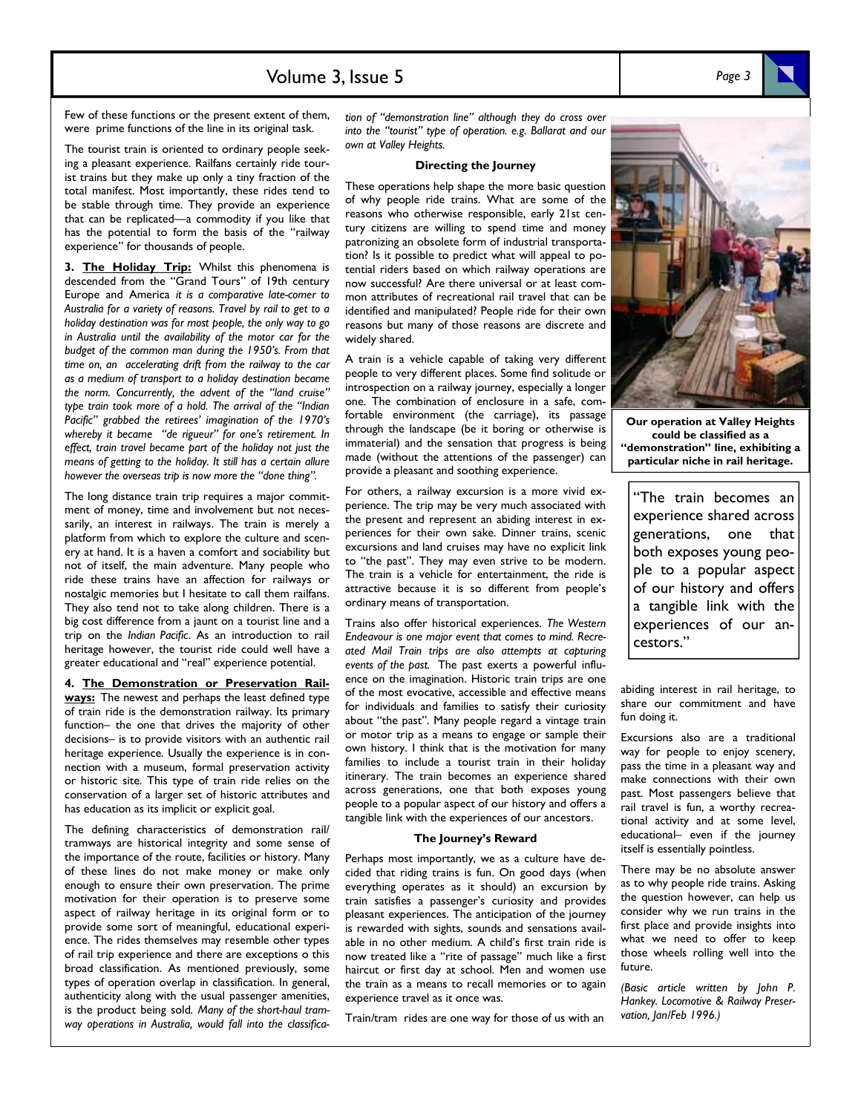## Volume 3, Issue 5 *Page 3*

The tourist train is oriented to ordinary people seeking a pleasant experience. Railfans certainly ride tourist trains but they make up only a tiny fraction of the total manifest. Most importantly, these rides tend to be stable through time. They provide an experience that can be replicated—a commodity if you like that has the potential to form the basis of the "railway experience" for thousands of people.

were prime functions of the line in its original task.

3. The Holiday Trip: Whilst this phenomena is descended from the "Grand Tours" of 19th century Europe and America *it is a comparative late-comer to Australia for a variety of reasons. Travel by rail to get to a holiday destination was for most people, the only way to go in Australia until the availability of the motor car for the budget of the common man during the 1950's. From that time on, an accelerating drift from the railway to the car as a medium of transport to a holiday destination became the norm. Concurrently, the advent of the "land cruise" type train took more of a hold. The arrival of the "Indian Pacific" grabbed the retirees' imagination of the 1970's whereby it became "de rigueur" for one's retirement. In effect, train travel became part of the holiday not just the means of getting to the holiday. It still has a certain allure however the overseas trip is now more the "done thing".* 

The long distance train trip requires a major commitment of money, time and involvement but not necessarily, an interest in railways. The train is merely a platform from which to explore the culture and scenery at hand. It is a haven a comfort and sociability but not of itself, the main adventure. Many people who ride these trains have an affection for railways or nostalgic memories but I hesitate to call them railfans. They also tend not to take along children. There is a big cost difference from a jaunt on a tourist line and a trip on the *Indian Pacific*. As an introduction to rail heritage however, the tourist ride could well have a greater educational and "real" experience potential.

**4. The Demonstration or Preservation Railways:** The newest and perhaps the least defined type of train ride is the demonstration railway. Its primary function– the one that drives the majority of other decisions– is to provide visitors with an authentic rail heritage experience. Usually the experience is in connection with a museum, formal preservation activity or historic site. This type of train ride relies on the conservation of a larger set of historic attributes and has education as its implicit or explicit goal.

The defining characteristics of demonstration rail/ tramways are historical integrity and some sense of the importance of the route, facilities or history. Many of these lines do not make money or make only enough to ensure their own preservation. The prime motivation for their operation is to preserve some aspect of railway heritage in its original form or to provide some sort of meaningful, educational experience. The rides themselves may resemble other types of rail trip experience and there are exceptions o this broad classification. As mentioned previously, some types of operation overlap in classification. In general, authenticity along with the usual passenger amenities, is the product being sold. *Many of the short-haul tramway operations in Australia, would fall into the classifica-* *tion of "demonstration line" although they do cross over into the "tourist" type of operation. e.g. Ballarat and our own at Valley Heights.* 

#### **Directing the Journey**

These operations help shape the more basic question of why people ride trains. What are some of the reasons who otherwise responsible, early 21st century citizens are willing to spend time and money patronizing an obsolete form of industrial transportation? Is it possible to predict what will appeal to potential riders based on which railway operations are now successful? Are there universal or at least common attributes of recreational rail travel that can be identified and manipulated? People ride for their own reasons but many of those reasons are discrete and widely shared.

A train is a vehicle capable of taking very different people to very different places. Some find solitude or introspection on a railway journey, especially a longer one. The combination of enclosure in a safe, comfortable environment (the carriage), its passage through the landscape (be it boring or otherwise is immaterial) and the sensation that progress is being made (without the attentions of the passenger) can provide a pleasant and soothing experience.

For others, a railway excursion is a more vivid experience. The trip may be very much associated with the present and represent an abiding interest in experiences for their own sake. Dinner trains, scenic excursions and land cruises may have no explicit link to "the past". They may even strive to be modern. The train is a vehicle for entertainment, the ride is attractive because it is so different from people's ordinary means of transportation.

Trains also offer historical experiences. *The Western Endeavour is one major event that comes to mind. Recreated Mail Train trips are also attempts at capturing events of the past.* The past exerts a powerful influence on the imagination. Historic train trips are one of the most evocative, accessible and effective means for individuals and families to satisfy their curiosity about "the past". Many people regard a vintage train or motor trip as a means to engage or sample their own history. I think that is the motivation for many families to include a tourist train in their holiday itinerary. The train becomes an experience shared across generations, one that both exposes young people to a popular aspect of our history and offers a tangible link with the experiences of our ancestors.

#### **The Journey's Reward**

Perhaps most importantly, we as a culture have decided that riding trains is fun. On good days (when everything operates as it should) an excursion by train satisfies a passenger's curiosity and provides pleasant experiences. The anticipation of the journey is rewarded with sights, sounds and sensations available in no other medium. A child's first train ride is now treated like a "rite of passage" much like a first haircut or first day at school. Men and women use the train as a means to recall memories or to again experience travel as it once was.

Train*/*tram rides are one way for those of us with an

**Our operation at Valley Heights** 

**could be classified as a "demonstration" line, exhibiting a particular niche in rail heritage.** 

"The train becomes an experience shared across generations, one that both exposes young people to a popular aspect of our history and offers a tangible link with the experiences of our ancestors."

abiding interest in rail heritage, to share our commitment and have fun doing it.

Excursions also are a traditional way for people to enjoy scenery, pass the time in a pleasant way and make connections with their own past. Most passengers believe that rail travel is fun, a worthy recreational activity and at some level, educational– even if the journey itself is essentially pointless.

There may be no absolute answer as to why people ride trains. Asking the question however, can help us consider why we run trains in the first place and provide insights into what we need to offer to keep those wheels rolling well into the future.

*(Basic article written by John P. Hankey. Locomotive & Railway Preservation, Jan/Feb 1996.)* 

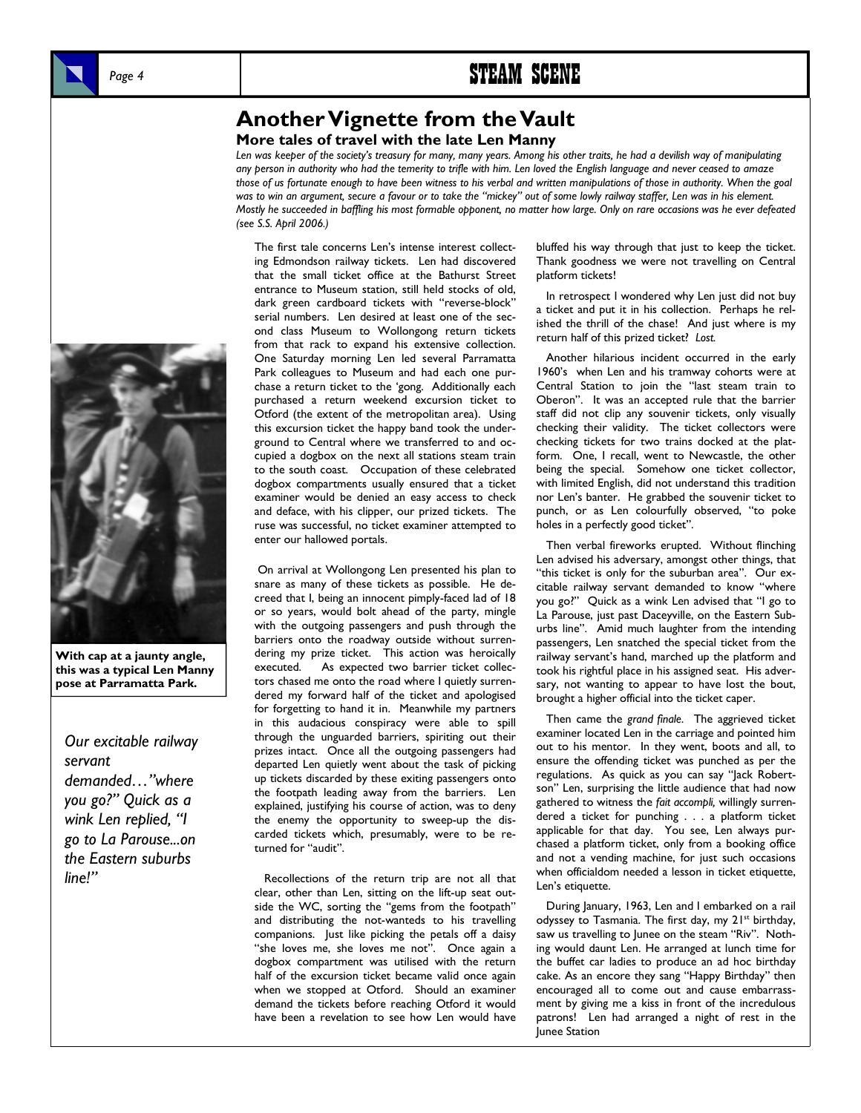## Page 4 **STEAM SCENE**

## **Another Vignette from the Vault**

#### **More tales of travel with the late Len Manny**

*Len was keeper of the society's treasury for many, many years. Among his other traits, he had a devilish way of manipulating any person in authority who had the temerity to trifle with him. Len loved the English language and never ceased to amaze those of us fortunate enough to have been witness to his verbal and written manipulations of those in authority. When the goal was to win an argument, secure a favour or to take the "mickey" out of some lowly railway staffer, Len was in his element. Mostly he succeeded in baffling his most formable opponent, no matter how large. Only on rare occasions was he ever defeated (see S.S. April 2006.)* 

The first tale concerns Len's intense interest collecting Edmondson railway tickets. Len had discovered that the small ticket office at the Bathurst Street entrance to Museum station, still held stocks of old, dark green cardboard tickets with "reverse-block" serial numbers. Len desired at least one of the second class Museum to Wollongong return tickets from that rack to expand his extensive collection. One Saturday morning Len led several Parramatta Park colleagues to Museum and had each one purchase a return ticket to the 'gong. Additionally each purchased a return weekend excursion ticket to Otford (the extent of the metropolitan area). Using this excursion ticket the happy band took the underground to Central where we transferred to and occupied a dogbox on the next all stations steam train to the south coast. Occupation of these celebrated dogbox compartments usually ensured that a ticket examiner would be denied an easy access to check and deface, with his clipper, our prized tickets. The ruse was successful, no ticket examiner attempted to enter our hallowed portals.

 On arrival at Wollongong Len presented his plan to snare as many of these tickets as possible. He decreed that I, being an innocent pimply-faced lad of 18 or so years, would bolt ahead of the party, mingle with the outgoing passengers and push through the barriers onto the roadway outside without surrendering my prize ticket. This action was heroically executed. As expected two barrier ticket collectors chased me onto the road where I quietly surrendered my forward half of the ticket and apologised for forgetting to hand it in. Meanwhile my partners in this audacious conspiracy were able to spill through the unguarded barriers, spiriting out their prizes intact. Once all the outgoing passengers had departed Len quietly went about the task of picking up tickets discarded by these exiting passengers onto the footpath leading away from the barriers. Len explained, justifying his course of action, was to deny the enemy the opportunity to sweep-up the discarded tickets which, presumably, were to be returned for "audit".

 Recollections of the return trip are not all that clear, other than Len, sitting on the lift-up seat outside the WC, sorting the "gems from the footpath" and distributing the not-wanteds to his travelling companions. Just like picking the petals off a daisy "she loves me, she loves me not". Once again a dogbox compartment was utilised with the return half of the excursion ticket became valid once again when we stopped at Otford. Should an examiner demand the tickets before reaching Otford it would have been a revelation to see how Len would have

bluffed his way through that just to keep the ticket. Thank goodness we were not travelling on Central platform tickets!

 In retrospect I wondered why Len just did not buy a ticket and put it in his collection. Perhaps he relished the thrill of the chase! And just where is my return half of this prized ticket? *Lost.*

 Another hilarious incident occurred in the early 1960's when Len and his tramway cohorts were at Central Station to join the "last steam train to Oberon". It was an accepted rule that the barrier staff did not clip any souvenir tickets, only visually checking their validity. The ticket collectors were checking tickets for two trains docked at the platform. One, I recall, went to Newcastle, the other being the special. Somehow one ticket collector, with limited English, did not understand this tradition nor Len's banter. He grabbed the souvenir ticket to punch, or as Len colourfully observed, "to poke holes in a perfectly good ticket".

 Then verbal fireworks erupted. Without flinching Len advised his adversary, amongst other things, that "this ticket is only for the suburban area". Our excitable railway servant demanded to know "where you go?" Quick as a wink Len advised that "I go to La Parouse, just past Daceyville, on the Eastern Suburbs line". Amid much laughter from the intending passengers, Len snatched the special ticket from the railway servant's hand, marched up the platform and took his rightful place in his assigned seat. His adversary, not wanting to appear to have lost the bout, brought a higher official into the ticket caper.

 Then came the *grand finale*. The aggrieved ticket examiner located Len in the carriage and pointed him out to his mentor. In they went, boots and all, to ensure the offending ticket was punched as per the regulations. As quick as you can say "Jack Robertson" Len, surprising the little audience that had now gathered to witness the *fait accompli,* willingly surrendered a ticket for punching . . . a platform ticket applicable for that day. You see, Len always purchased a platform ticket, only from a booking office and not a vending machine, for just such occasions when officialdom needed a lesson in ticket etiquette, Len's etiquette.

 During January, 1963, Len and I embarked on a rail odyssey to Tasmania. The first day, my 21<sup>st</sup> birthday, saw us travelling to Junee on the steam "Riv". Nothing would daunt Len. He arranged at lunch time for the buffet car ladies to produce an ad hoc birthday cake. As an encore they sang "Happy Birthday" then encouraged all to come out and cause embarrassment by giving me a kiss in front of the incredulous patrons! Len had arranged a night of rest in the Junee Station



*Our excitable railway servant demanded…"where you go?" Quick as a wink Len replied, "I go to La Parouse...on the Eastern suburbs line!"*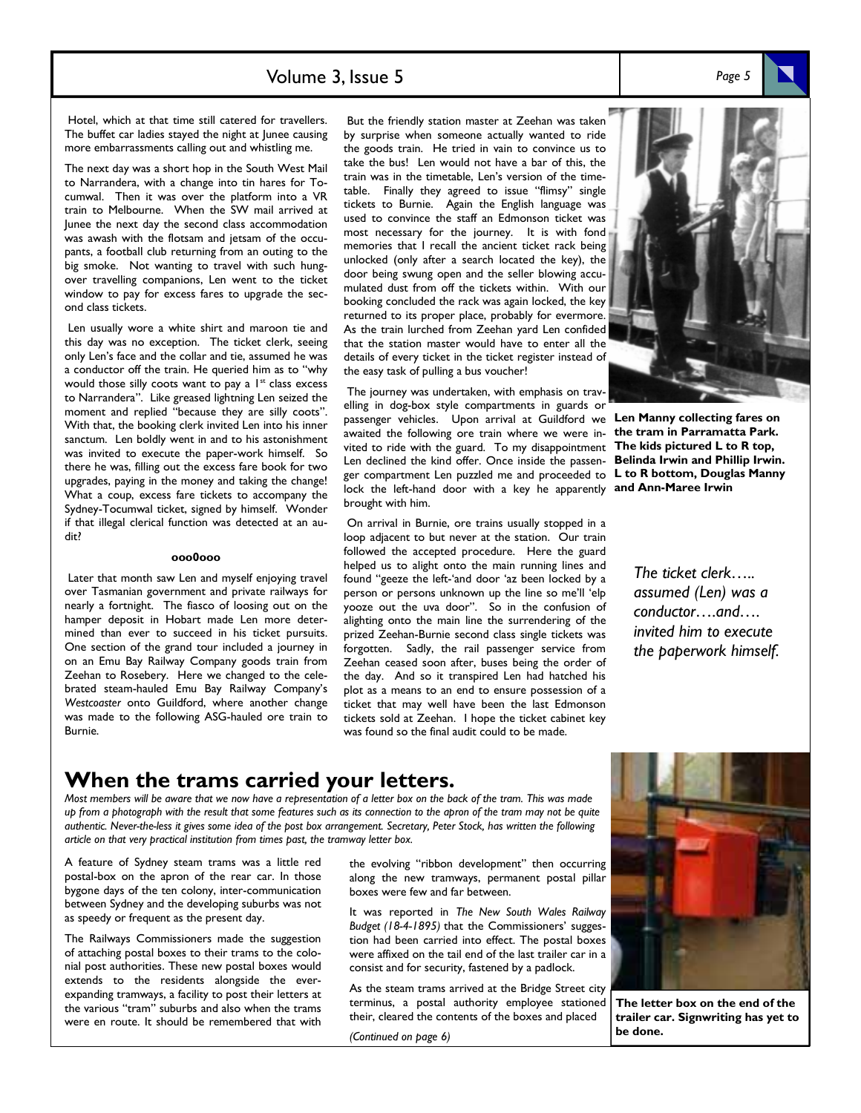## Volume 3, Issue 5

 Hotel, which at that time still catered for travellers. The buffet car ladies stayed the night at Junee causing more embarrassments calling out and whistling me.

The next day was a short hop in the South West Mail to Narrandera, with a change into tin hares for Tocumwal. Then it was over the platform into a VR train to Melbourne. When the SW mail arrived at Junee the next day the second class accommodation was awash with the flotsam and jetsam of the occupants, a football club returning from an outing to the big smoke. Not wanting to travel with such hungover travelling companions, Len went to the ticket window to pay for excess fares to upgrade the second class tickets.

 Len usually wore a white shirt and maroon tie and this day was no exception. The ticket clerk, seeing only Len's face and the collar and tie, assumed he was a conductor off the train. He queried him as to "why would those silly coots want to pay a  $1^{st}$  class excess to Narrandera". Like greased lightning Len seized the moment and replied "because they are silly coots". With that, the booking clerk invited Len into his inner sanctum. Len boldly went in and to his astonishment was invited to execute the paper-work himself. So there he was, filling out the excess fare book for two upgrades, paying in the money and taking the change! What a coup, excess fare tickets to accompany the Sydney-Tocumwal ticket, signed by himself. Wonder if that illegal clerical function was detected at an audit?

### **ooo0ooo**

 Later that month saw Len and myself enjoying travel over Tasmanian government and private railways for nearly a fortnight. The fiasco of loosing out on the hamper deposit in Hobart made Len more determined than ever to succeed in his ticket pursuits. One section of the grand tour included a journey in on an Emu Bay Railway Company goods train from Zeehan to Rosebery. Here we changed to the celebrated steam-hauled Emu Bay Railway Company's *Westcoaster* onto Guildford, where another change was made to the following ASG-hauled ore train to Burnie.

 But the friendly station master at Zeehan was taken by surprise when someone actually wanted to ride the goods train. He tried in vain to convince us to take the bus! Len would not have a bar of this, the train was in the timetable, Len's version of the timetable. Finally they agreed to issue "flimsy" single tickets to Burnie. Again the English language was used to convince the staff an Edmonson ticket was most necessary for the journey. It is with fond memories that I recall the ancient ticket rack being unlocked (only after a search located the key), the door being swung open and the seller blowing accumulated dust from off the tickets within. With our booking concluded the rack was again locked, the key returned to its proper place, probably for evermore. As the train lurched from Zeehan yard Len confided that the station master would have to enter all the details of every ticket in the ticket register instead of the easy task of pulling a bus voucher!

 The journey was undertaken, with emphasis on travelling in dog-box style compartments in guards or passenger vehicles. Upon arrival at Guildford we **Len Manny collecting fares on**  awaited the following ore train where we were in-**the tram in Parramatta Park.**  vited to ride with the guard. To my disappointment **The kids pictured L to R top,**  Len declined the kind offer. Once inside the passen-**Belinda Irwin and Phillip Irwin.**  ger compartment Len puzzled me and proceeded to **L to R bottom, Douglas Manny**  lock the left-hand door with a key he apparently **and Ann-Maree Irwin**  brought with him.

 On arrival in Burnie, ore trains usually stopped in a loop adjacent to but never at the station. Our train followed the accepted procedure. Here the guard helped us to alight onto the main running lines and found "geeze the left-'and door 'az been locked by a person or persons unknown up the line so me'll 'elp yooze out the uva door". So in the confusion of alighting onto the main line the surrendering of the prized Zeehan-Burnie second class single tickets was forgotten. Sadly, the rail passenger service from Zeehan ceased soon after, buses being the order of the day. And so it transpired Len had hatched his plot as a means to an end to ensure possession of a ticket that may well have been the last Edmonson tickets sold at Zeehan. I hope the ticket cabinet key was found so the final audit could to be made.

*The ticket clerk….. assumed (Len) was a conductor….and…. invited him to execute the paperwork himself.* 

## **When the trams carried your letters.**

*Most members will be aware that we now have a representation of a letter box on the back of the tram. This was made up from a photograph with the result that some features such as its connection to the apron of the tram may not be quite authentic. Never-the-less it gives some idea of the post box arrangement. Secretary, Peter Stock, has written the following article on that very practical institution from times past, the tramway letter box.* 

A feature of Sydney steam trams was a little red postal-box on the apron of the rear car. In those bygone days of the ten colony, inter-communication between Sydney and the developing suburbs was not as speedy or frequent as the present day.

The Railways Commissioners made the suggestion of attaching postal boxes to their trams to the colonial post authorities. These new postal boxes would extends to the residents alongside the everexpanding tramways, a facility to post their letters at the various "tram" suburbs and also when the trams were en route. It should be remembered that with

the evolving "ribbon development" then occurring along the new tramways, permanent postal pillar boxes were few and far between.

It was reported in *The New South Wales Railway Budget (18-4-1895)* that the Commissioners' suggestion had been carried into effect. The postal boxes were affixed on the tail end of the last trailer car in a consist and for security, fastened by a padlock.

As the steam trams arrived at the Bridge Street city terminus, a postal authority employee stationed their, cleared the contents of the boxes and placed

*(Continued on page 6)* 



**The letter box on the end of the trailer car. Signwriting has yet to be done.** 



*Page 5*